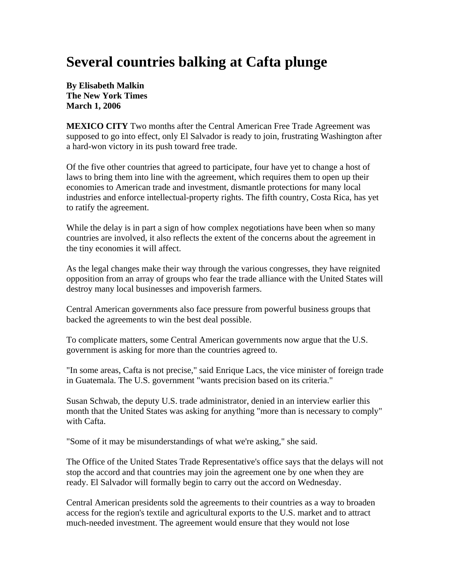## **Several countries balking at Cafta plunge**

**By Elisabeth Malkin The New York Times March 1, 2006** 

**MEXICO CITY** Two months after the Central American Free Trade Agreement was supposed to go into effect, only El Salvador is ready to join, frustrating Washington after a hard-won victory in its push toward free trade.

Of the five other countries that agreed to participate, four have yet to change a host of laws to bring them into line with the agreement, which requires them to open up their economies to American trade and investment, dismantle protections for many local industries and enforce intellectual-property rights. The fifth country, Costa Rica, has yet to ratify the agreement.

While the delay is in part a sign of how complex negotiations have been when so many countries are involved, it also reflects the extent of the concerns about the agreement in the tiny economies it will affect.

As the legal changes make their way through the various congresses, they have reignited opposition from an array of groups who fear the trade alliance with the United States will destroy many local businesses and impoverish farmers.

Central American governments also face pressure from powerful business groups that backed the agreements to win the best deal possible.

To complicate matters, some Central American governments now argue that the U.S. government is asking for more than the countries agreed to.

"In some areas, Cafta is not precise," said Enrique Lacs, the vice minister of foreign trade in Guatemala. The U.S. government "wants precision based on its criteria."

Susan Schwab, the deputy U.S. trade administrator, denied in an interview earlier this month that the United States was asking for anything "more than is necessary to comply" with Cafta.

"Some of it may be misunderstandings of what we're asking," she said.

The Office of the United States Trade Representative's office says that the delays will not stop the accord and that countries may join the agreement one by one when they are ready. El Salvador will formally begin to carry out the accord on Wednesday.

Central American presidents sold the agreements to their countries as a way to broaden access for the region's textile and agricultural exports to the U.S. market and to attract much-needed investment. The agreement would ensure that they would not lose